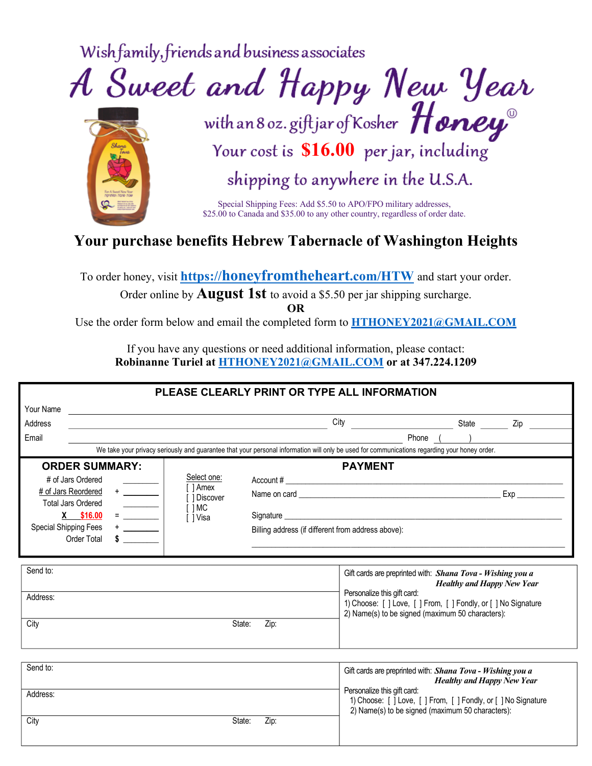Wish family, friends and business associates





shipping to anywhere in the U.S.A.

Special Shipping Fees: Add \$5.50 to APO/FPO military addresses, \$25.00 to Canada and \$35.00 to any other country, regardless of order date.

## **Your purchase benefits Hebrew Tabernacle of Washington Heights**

To order honey, visit **https://honeyfromtheheart.com/HTW** and start your order.

Order online by **August 1st** to avoid a \$5.50 per jar shipping surcharge.

**OR**

Use the order form below and email the completed form to **HTHONEY2021@GMAIL.COM**

If you have any questions or need additional information, please contact: **Robinanne Turiel at HTHONEY2021@GMAIL.COM or at 347.224.1209**

|                                                                                                                                                                                                                                                                                                                                                                                                                                                                                                                                                                                   | PLEASE CLEARLY PRINT OR TYPE ALL INFORMATION                                                                                                                                                                                                                                                                                                           |                                                                                                                                                                                                                                                                                                                        |                                                                                                     |
|-----------------------------------------------------------------------------------------------------------------------------------------------------------------------------------------------------------------------------------------------------------------------------------------------------------------------------------------------------------------------------------------------------------------------------------------------------------------------------------------------------------------------------------------------------------------------------------|--------------------------------------------------------------------------------------------------------------------------------------------------------------------------------------------------------------------------------------------------------------------------------------------------------------------------------------------------------|------------------------------------------------------------------------------------------------------------------------------------------------------------------------------------------------------------------------------------------------------------------------------------------------------------------------|-----------------------------------------------------------------------------------------------------|
| Your Name<br>Address                                                                                                                                                                                                                                                                                                                                                                                                                                                                                                                                                              | <u> 1989 - Johann Harry Harry Harry Harry Harry Harry Harry Harry Harry Harry Harry Harry Harry Harry Harry Harry</u><br>the control of the control of the control of the control of the control of the control of the control of the control of the control of the control of the control of the control of the control of the control of the control | City                                                                                                                                                                                                                                                                                                                   | State __________ Zip _________                                                                      |
| Email                                                                                                                                                                                                                                                                                                                                                                                                                                                                                                                                                                             |                                                                                                                                                                                                                                                                                                                                                        |                                                                                                                                                                                                                                                                                                                        |                                                                                                     |
|                                                                                                                                                                                                                                                                                                                                                                                                                                                                                                                                                                                   | We take your privacy seriously and guarantee that your personal information will only be used for communications regarding your honey order.                                                                                                                                                                                                           |                                                                                                                                                                                                                                                                                                                        |                                                                                                     |
| <b>ORDER SUMMARY:</b><br># of Jars Ordered<br># of Jars Reordered<br><b>Total Jars Ordered</b><br>$=\frac{\frac{1}{1-\frac{1}{1-\frac{1}{1-\frac{1}{1-\frac{1}{1-\frac{1}{1-\frac{1}{1-\frac{1}{1-\frac{1}{1-\frac{1}{1-\frac{1}{1-\frac{1}{1-\frac{1}{1-\frac{1}{1-\frac{1}{1-\frac{1}{1-\frac{1}{1-\frac{1}{1-\frac{1}{1-\frac{1}{1-\frac{1}{1-\frac{1}{1-\frac{1}{1-\frac{1}{1-\frac{1}{1-\frac{1}{1-\frac{1}{1-\frac{1}{1-\frac{1}{1-\frac{1}{1-\frac{1}{1-\frac{1}{1-\frac{1}{1-\frac{1}{1-\frac{1}{1-\frac{1}{1-\frac$<br>X \$16.00<br>Special Shipping Fees<br>Order Total | Select one:<br>[ ] Amex<br>[ 1 Discover<br>$[$ $]MC$<br>[ ] Visa                                                                                                                                                                                                                                                                                       | <b>PAYMENT</b><br>Account $\#$<br>Signature experiments and the state of the state of the state of the state of the state of the state of the state of the state of the state of the state of the state of the state of the state of the state of the state of t<br>Billing address (if different from address above): |                                                                                                     |
| Send to:<br>Address:                                                                                                                                                                                                                                                                                                                                                                                                                                                                                                                                                              |                                                                                                                                                                                                                                                                                                                                                        | Gift cards are preprinted with: Shana Tova - Wishing you a<br>Personalize this gift card:<br>2) Name(s) to be signed (maximum 50 characters):                                                                                                                                                                          | <b>Healthy and Happy New Year</b><br>1) Choose: [ ] Love, [ ] From, [ ] Fondly, or [ ] No Signature |
| City                                                                                                                                                                                                                                                                                                                                                                                                                                                                                                                                                                              | State:<br>Zip:                                                                                                                                                                                                                                                                                                                                         |                                                                                                                                                                                                                                                                                                                        |                                                                                                     |
| Send to:                                                                                                                                                                                                                                                                                                                                                                                                                                                                                                                                                                          |                                                                                                                                                                                                                                                                                                                                                        | Gift cards are preprinted with: Shana Tova - Wishing you a                                                                                                                                                                                                                                                             | <b>Healthy and Happy New Year</b>                                                                   |
| Address:                                                                                                                                                                                                                                                                                                                                                                                                                                                                                                                                                                          |                                                                                                                                                                                                                                                                                                                                                        | Personalize this gift card:<br>2) Name(s) to be signed (maximum 50 characters):                                                                                                                                                                                                                                        | 1) Choose: [ ] Love, [ ] From, [ ] Fondly, or [ ] No Signature                                      |
| City                                                                                                                                                                                                                                                                                                                                                                                                                                                                                                                                                                              | State:<br>Zip:                                                                                                                                                                                                                                                                                                                                         |                                                                                                                                                                                                                                                                                                                        |                                                                                                     |